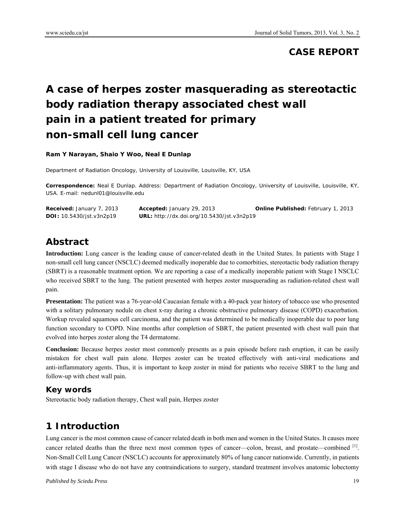### **CASE REPORT**

# **A case of herpes zoster masquerading as stereotactic body radiation therapy associated chest wall pain in a patient treated for primary non-small cell lung cancer**

**Ram Y Narayan, Shaio Y Woo, Neal E Dunlap** 

Department of Radiation Oncology, University of Louisville, Louisville, KY, USA

**Correspondence:** Neal E Dunlap. Address: Department of Radiation Oncology, University of Louisville, Louisville, KY, USA. E-mail: nedunl01@louisville.edu

| Received: January 7, 2013       | <b>Accepted:</b> January 29, 2013                 | <b>Online Published: February 1, 2013</b> |
|---------------------------------|---------------------------------------------------|-------------------------------------------|
| <b>DOI:</b> 10.5430/jst.v3n2p19 | <b>URL:</b> http://dx.doi.org/10.5430/jst.v3n2p19 |                                           |

### **Abstract**

**Introduction:** Lung cancer is the leading cause of cancer-related death in the United States. In patients with Stage I non-small cell lung cancer (NSCLC) deemed medically inoperable due to comorbities, stereotactic body radiation therapy (SBRT) is a reasonable treatment option. We are reporting a case of a medically inoperable patient with Stage I NSCLC who received SBRT to the lung. The patient presented with herpes zoster masquerading as radiation-related chest wall pain.

**Presentation:** The patient was a 76-year-old Caucasian female with a 40-pack year history of tobacco use who presented with a solitary pulmonary nodule on chest x-ray during a chronic obstructive pulmonary disease (COPD) exacerbation. Workup revealed squamous cell carcinoma, and the patient was determined to be medically inoperable due to poor lung function secondary to COPD. Nine months after completion of SBRT, the patient presented with chest wall pain that evolved into herpes zoster along the T4 dermatome.

**Conclusion:** Because herpes zoster most commonly presents as a pain episode before rash eruption, it can be easily mistaken for chest wall pain alone. Herpes zoster can be treated effectively with anti-viral medications and anti-inflammatory agents. Thus, it is important to keep zoster in mind for patients who receive SBRT to the lung and follow-up with chest wall pain.

#### **Key words**

Stereotactic body radiation therapy, Chest wall pain, Herpes zoster

### **1 Introduction**

Lung cancer is the most common cause of cancer related death in both men and women in the United States. It causes more cancer related deaths than the three next most common types of cancer—colon, breast, and prostate—combined  $\left[1\right]$ . Non-Small Cell Lung Cancer (NSCLC) accounts for approximately 80% of lung cancer nationwide. Currently, in patients with stage I disease who do not have any contraindications to surgery, standard treatment involves anatomic lobectomy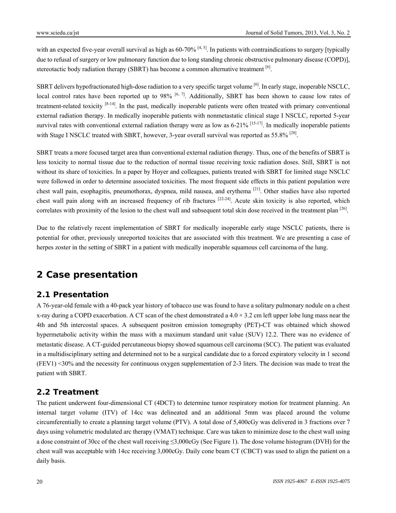with an expected five-year overall survival as high as  $60-70\%$  [4, 5]. In patients with contraindications to surgery [typically due to refusal of surgery or low pulmonary function due to long standing chronic obstructive pulmonary disease (COPD)], stereotactic body radiation therapy (SBRT) has become a common alternative treatment  $^{[6]}$ .

SBRT delivers hypofractionated high-dose radiation to a very specific target volume [6]. In early stage, inoperable NSCLC, local control rates have been reported up to 98% <sup>[6, 7]</sup>. Additionally, SBRT has been shown to cause low rates of treatment-related toxicity  $[8-14]$ . In the past, medically inoperable patients were often treated with primary conventional external radiation therapy. In medically inoperable patients with nonmetastatic clinical stage I NSCLC, reported 5-year survival rates with conventional external radiation therapy were as low as  $6-21\%$  [15-17]. In medically inoperable patients with Stage I NSCLC treated with SBRT, however, 3-year overall survival was reported as 55.8% <sup>[20]</sup>.

SBRT treats a more focused target area than conventional external radiation therapy. Thus, one of the benefits of SBRT is less toxicity to normal tissue due to the reduction of normal tissue receiving toxic radiation doses. Still, SBRT is not without its share of toxicities. In a paper by Hoyer and colleagues, patients treated with SBRT for limited stage NSCLC were followed in order to determine associated toxicities. The most frequent side effects in this patient population were chest wall pain, esophagitis, pneumothorax, dyspnea, mild nausea, and erythema [21]. Other studies have also reported chest wall pain along with an increased frequency of rib fractures  $[22-24]$ . Acute skin toxicity is also reported, which correlates with proximity of the lesion to the chest wall and subsequent total skin dose received in the treatment plan <sup>[26]</sup>.

Due to the relatively recent implementation of SBRT for medically inoperable early stage NSCLC patients, there is potential for other, previously unreported toxicites that are associated with this treatment. We are presenting a case of herpes zoster in the setting of SBRT in a patient with medically inoperable squamous cell carcinoma of the lung.

### **2 Case presentation**

#### **2.1 Presentation**

A 76-year-old female with a 40-pack year history of tobacco use was found to have a solitary pulmonary nodule on a chest x-ray during a COPD exacerbation. A CT scan of the chest demonstrated a  $4.0 \times 3.2$  cm left upper lobe lung mass near the 4th and 5th intercostal spaces. A subsequent positron emission tomography (PET)-CT was obtained which showed hypermetabolic activity within the mass with a maximum standard unit value (SUV) 12.2. There was no evidence of metastatic disease. A CT-guided percutaneous biopsy showed squamous cell carcinoma (SCC). The patient was evaluated in a multidisciplinary setting and determined not to be a surgical candidate due to a forced expiratory velocity in 1 second (FEV1) <30% and the necessity for continuous oxygen supplementation of 2-3 liters. The decision was made to treat the patient with SBRT.

#### **2.2 Treatment**

The patient underwent four-dimensional CT (4DCT) to determine tumor respiratory motion for treatment planning. An internal target volume (ITV) of 14cc was delineated and an additional 5mm was placed around the volume circumferentially to create a planning target volume (PTV). A total dose of 5,400cGy was delivered in 3 fractions over 7 days using volumetric modulated arc therapy (VMAT) technique. Care was taken to minimize dose to the chest wall using a dose constraint of 30cc of the chest wall receiving ≤3,000cGy (See Figure 1). The dose volume histogram (DVH) for the chest wall was acceptable with 14cc receiving 3,000cGy. Daily cone beam CT (CBCT) was used to align the patient on a daily basis.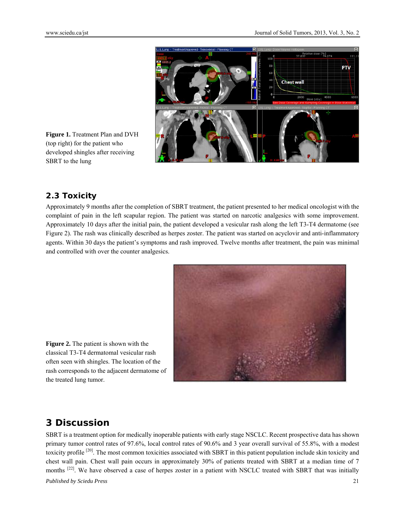

**Figure 1.** Treatment Plan and DVH (top right) for the patient who developed shingles after receiving SBRT to the lung

#### **2.3 Toxicity**

Approximately 9 months after the completion of SBRT treatment, the patient presented to her medical oncologist with the complaint of pain in the left scapular region. The patient was started on narcotic analgesics with some improvement. Approximately 10 days after the initial pain, the patient developed a vesicular rash along the left T3-T4 dermatome (see Figure 2). The rash was clinically described as herpes zoster. The patient was started on acyclovir and anti-inflammatory agents. Within 30 days the patient's symptoms and rash improved. Twelve months after treatment, the pain was minimal and controlled with over the counter analgesics.



**Figure 2.** The patient is shown with the classical T3-T4 dermatomal vesicular rash often seen with shingles. The location of the rash corresponds to the adjacent dermatome of the treated lung tumor.

### **3 Discussion**

*Published by Sciedu Press* 21 SBRT is a treatment option for medically inoperable patients with early stage NSCLC. Recent prospective data has shown primary tumor control rates of 97.6%, local control rates of 90.6% and 3 year overall survival of 55.8%, with a modest toxicity profile [20]. The most common toxicities associated with SBRT in this patient population include skin toxicity and chest wall pain. Chest wall pain occurs in approximately 30% of patients treated with SBRT at a median time of 7 months <sup>[22]</sup>. We have observed a case of herpes zoster in a patient with NSCLC treated with SBRT that was initially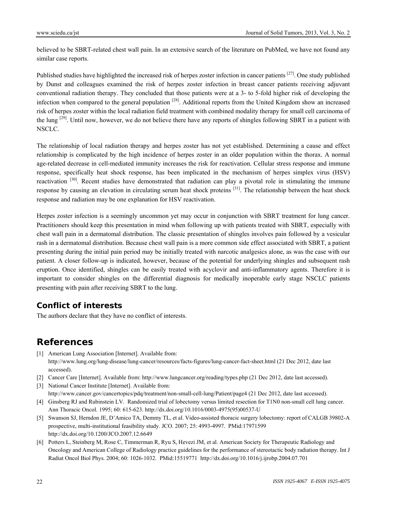believed to be SBRT-related chest wall pain. In an extensive search of the literature on PubMed, we have not found any similar case reports.

Published studies have highlighted the increased risk of herpes zoster infection in cancer patients [27]. One study published by Dunst and colleagues examined the risk of herpes zoster infection in breast cancer patients receiving adjuvant conventional radiation therapy. They concluded that those patients were at a 3- to 5-fold higher risk of developing the infection when compared to the general population  $[28]$ . Additional reports from the United Kingdom show an increased risk of herpes zoster within the local radiation field treatment with combined modality therapy for small cell carcinoma of the lung <sup>[29]</sup>. Until now, however, we do not believe there have any reports of shingles following SBRT in a patient with NSCLC.

The relationship of local radiation therapy and herpes zoster has not yet established. Determining a cause and effect relationship is complicated by the high incidence of herpes zoster in an older population within the thorax. A normal age-related decrease in cell-mediated immunity increases the risk for reactivation. Cellular stress response and immune response, specifically heat shock response, has been implicated in the mechanism of herpes simplex virus (HSV) reactivation <sup>[30]</sup>. Recent studies have demonstrated that radiation can play a pivotal role in stimulating the immune response by causing an elevation in circulating serum heat shock proteins [31]. The relationship between the heat shock response and radiation may be one explanation for HSV reactivation.

Herpes zoster infection is a seemingly uncommon yet may occur in conjunction with SBRT treatment for lung cancer. Practitioners should keep this presentation in mind when following up with patients treated with SBRT, especially with chest wall pain in a dermatomal distribution. The classic presentation of shingles involves pain followed by a vesicular rash in a dermatomal distribution. Because chest wall pain is a more common side effect associated with SBRT, a patient presenting during the initial pain period may be initially treated with narcotic analgesics alone, as was the case with our patient. A closer follow-up is indicated, however, because of the potential for underlying shingles and subsequent rash eruption. Once identified, shingles can be easily treated with acyclovir and anti-inflammatory agents. Therefore it is important to consider shingles on the differential diagnosis for medically inoperable early stage NSCLC patients presenting with pain after receiving SBRT to the lung.

### **Conflict of interests**

The authors declare that they have no conflict of interests.

## **References**

- [1] American Lung Association [Internet]. Available from: http://www.lung.org/lung-disease/lung-cancer/resources/facts-figures/lung-cancer-fact-sheet.html (21 Dec 2012, date last accessed).
- [2] Cancer Care [Internet]. Available from: http://www.lungcancer.org/reading/types.php (21 Dec 2012, date last accessed).
- [3] National Cancer Institute [Internet]. Available from: http://www.cancer.gov/cancertopics/pdq/treatment/non-small-cell-lung/Patient/page4 (21 Dec 2012, date last accessed).
- [4] Ginsberg RJ and Rubinstein LV. Randomized trial of lobectomy versus limited resection for T1N0 non-small cell lung cancer. Ann Thoracic Oncol. 1995; 60: 615-623. http://dx.doi.org/10.1016/0003-4975(95)00537-U
- [5] Swanson SJ, Herndon JE, D'Amico TA, Demmy TL, et al. Video-assisted thoracic surgery lobectomy: report of CALGB 39802-A prospective, multi-institutional feasibility study. JCO. 2007; 25: 4993-4997. PMid:17971599 http://dx.doi.org/10.1200/JCO.2007.12.6649
- [6] Potters L, Steinberg M, Rose C, Timmerman R, Ryu S, Hevezi JM, et al. American Society for Therapeutic Radiology and Oncology and American College of Radiology practice guidelines for the performance of stereotactic body radiation therapy. Int J Radiat Oncol Biol Phys. 2004; 60: 1026-1032. PMid:15519771 http://dx.doi.org/10.1016/j.ijrobp.2004.07.701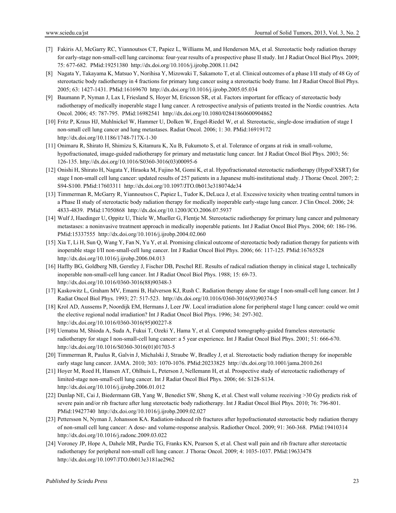- [7] Fakiris AJ, McGarry RC, Yiannoutsos CT, Papiez L, Williams M, and Henderson MA, et al. Stereotactic body radiation therapy for early-stage non-small-cell lung carcinoma: four-year results of a prospective phase II study. Int J Radiat Oncol Biol Phys. 2009; 75: 677-682. PMid:19251380 http://dx.doi.org/10.1016/j.ijrobp.2008.11.042
- [8] Nagata Y, Takayama K, Matsuo Y, Norihisa Y, Mizowaki T, Sakamoto T, et al. Clinical outcomes of a phase I/II study of 48 Gy of stereotactic body radiotherapy in 4 fractions for primary lung cancer using a stereotactic body frame. Int J Radiat Oncol Biol Phys. 2005; 63: 1427-1431. PMid:16169670 http://dx.doi.org/10.1016/j.ijrobp.2005.05.034
- [9] Baumann P, Nyman J, Lax I, Friesland S, Hoyer M, Ericsson SR, et al. Factors important for efficacy of stereotactic body radiotherapy of medically inoperable stage I lung cancer. A retrospective analysis of patients treated in the Nordic countries. Acta Oncol. 2006; 45: 787-795. PMid:16982541 http://dx.doi.org/10.1080/02841860600904862
- [10] Fritz P, Kraus HJ, Muhlnickel W, Hammer U, Dolken W, Engel-Riedel W, et al. Stereotactic, single-dose irradiation of stage I non-small cell lung cancer and lung metastases. Radiat Oncol. 2006; 1: 30. PMid:16919172 http://dx.doi.org/10.1186/1748-717X-1-30
- [11] Onimaru R, Shirato H, Shimizu S, Kitamura K, Xu B, Fukumoto S, et al. Tolerance of organs at risk in small-volume, hypofractionated, image-guided radiotherapy for primary and metastatic lung cancer. Int J Radiat Oncol Biol Phys. 2003; 56: 126-135. http://dx.doi.org/10.1016/S0360-3016(03)00095-6
- [12] Onishi H, Shirato H, Nagata Y, Hiraoka M, Fujino M, Gomi K, et al. Hypofractionated stereotactic radiotherapy (HypoFXSRT) for stage I non-small cell lung cancer: updated results of 257 patients in a Japanese multi-institutional study. J Thorac Oncol. 2007; 2: S94-S100. PMid:17603311 http://dx.doi.org/10.1097/JTO.0b013e318074de34
- [13] Timmerman R, McGarry R, Yiannoutsos C, Papiez L, Tudor K, DeLuca J, et al. Excessive toxicity when treating central tumors in a Phase II study of stereotactic body radiation therapy for medically inoperable early-stage lung cancer. J Clin Oncol. 2006; 24: 4833-4839. PMid:17050868 http://dx.doi.org/10.1200/JCO.2006.07.5937
- [14] Wulf J, Haedinger U, Oppitz U, Thiele W, Mueller G, Flentje M. Stereotactic radiotherapy for primary lung cancer and pulmonary metastases: a noninvasive treatment approach in medically inoperable patients. Int J Radiat Oncol Biol Phys. 2004; 60: 186-196. PMid:15337555 http://dx.doi.org/10.1016/j.ijrobp.2004.02.060
- [15] Xia T, Li H, Sun Q, Wang Y, Fan N, Yu Y, et al. Promising clinical outcome of stereotactic body radiation therapy for patients with inoperable stage I/II non-small-cell lung cancer. Int J Radiat Oncol Biol Phys. 2006; 66: 117-125. PMid:16765528 http://dx.doi.org/10.1016/j.ijrobp.2006.04.013
- [16] Haffty BG, Goldberg NB, Gerstley J, Fischer DB, Peschel RE. Results of radical radiation therapy in clinical stage I, technically inoperable non-small-cell lung cancer. Int J Radiat Oncol Biol Phys. 1988; 15: 69-73. http://dx.doi.org/10.1016/0360-3016(88)90348-3
- [17] Kaskowitz L, Graham MV, Emami B, Halverson KJ, Rush C. Radiation therapy alone for stage I non-small-cell lung cancer. Int J Radiat Oncol Biol Phys. 1993; 27: 517-523. http://dx.doi.org/10.1016/0360-3016(93)90374-5
- [18] Krol AD, Aussems P, Noordijk EM, Hermans J, Leer JW. Local irradiation alone for peripheral stage I lung cancer: could we omit the elective regional nodal irradiation? Int J Radiat Oncol Biol Phys. 1996; 34: 297-302. http://dx.doi.org/10.1016/0360-3016(95)00227-8
- [19] Uematsu M, Shioda A, Suda A, Fukui T, Ozeki Y, Hama Y, et al. Computed tomography-guided frameless stereotactic radiotherapy for stage I non-small-cell lung cancer: a 5 year experience. Int J Radiat Oncol Biol Phys. 2001; 51: 666-670. http://dx.doi.org/10.1016/S0360-3016(01)01703-5
- [20] Timmerman R, Paulus R, Galvin J, Michalski J, Straube W, Bradley J, et al. Stereotactic body radiation therapy for inoperable early stage lung cancer. JAMA. 2010; 303: 1070-1076. PMid:20233825 http://dx.doi.org/10.1001/jama.2010.261
- [21] Hoyer M, Roed H, Hansen AT, Ohlhuis L, Peterson J, Nellemann H, et al. Prospective study of stereotactic radiotherapy of limited-stage non-small-cell lung cancer. Int J Radiat Oncol Biol Phys. 2006; 66: S128-S134. http://dx.doi.org/10.1016/j.ijrobp.2006.01.012
- [22] Dunlap NE, Cai J, Biedermann GB, Yang W, Benedict SW, Sheng K, et al. Chest wall volume receiving >30 Gy predicts risk of severe pain and/or rib fracture after lung stereotactic body radiotherapy. Int J Radiat Oncol Biol Phys. 2010; 76: 796-801. PMid:19427740 http://dx.doi.org/10.1016/j.ijrobp.2009.02.027
- [23] Pettersson N, Nyman J, Johansson KA. Radiation-induced rib fractures after hypofractionated stereotactic body radiation therapy of non-small cell lung cancer: A dose- and volume-response analysis. Radiother Oncol. 2009; 91: 360-368. PMid:19410314 http://dx.doi.org/10.1016/j.radonc.2009.03.022
- [24] Voroney JP, Hope A, Dahele MR, Purdie TG, Franks KN, Pearson S, et al. Chest wall pain and rib fracture after stereotactic radiotherapy for peripheral non-small cell lung cancer. J Thorac Oncol. 2009; 4: 1035-1037. PMid:19633478 http://dx.doi.org/10.1097/JTO.0b013e3181ae2962